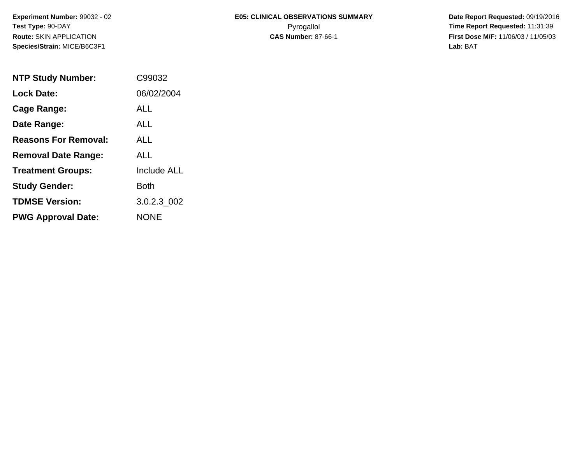# **E05: CLINICAL OBSERVATIONS SUMMARY**Pyrogallol **Time Report Requested:** 11:31:39

 **Date Report Requested:** 09/19/2016 **First Dose M/F:** 11/06/03 / 11/05/03<br>Lab: BAT **Lab:** BAT

| <b>NTP Study Number:</b>    | C99032             |
|-----------------------------|--------------------|
| <b>Lock Date:</b>           | 06/02/2004         |
| Cage Range:                 | ALL                |
| Date Range:                 | ALL                |
| <b>Reasons For Removal:</b> | AI I               |
| <b>Removal Date Range:</b>  | ALL                |
| <b>Treatment Groups:</b>    | <b>Include ALL</b> |
| <b>Study Gender:</b>        | Both               |
| <b>TDMSE Version:</b>       | 3.0.2.3 002        |
| <b>PWG Approval Date:</b>   | <b>NONE</b>        |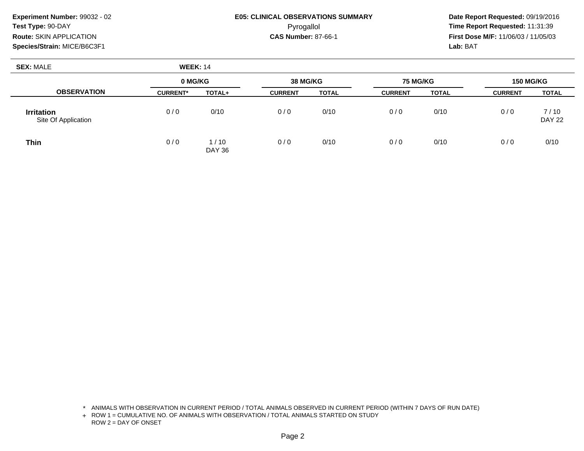## **E05: CLINICAL OBSERVATIONS SUMMARY**Pyrogallol **Time Report Requested:** 11:31:39

 **Date Report Requested:** 09/19/2016 **First Dose M/F:** 11/06/03 / 11/05/03<br>Lab: BAT **Lab:** BAT

| <b>SEX: MALE</b>                         | <b>WEEK: 14</b> |                |                 |              |                 |              |                  |                       |
|------------------------------------------|-----------------|----------------|-----------------|--------------|-----------------|--------------|------------------|-----------------------|
|                                          | 0 MG/KG         |                | <b>38 MG/KG</b> |              | <b>75 MG/KG</b> |              | <b>150 MG/KG</b> |                       |
| <b>OBSERVATION</b>                       | <b>CURRENT*</b> | TOTAL+         | <b>CURRENT</b>  | <b>TOTAL</b> | <b>CURRENT</b>  | <b>TOTAL</b> | <b>CURRENT</b>   | <b>TOTAL</b>          |
| <b>Irritation</b><br>Site Of Application | 0/0             | 0/10           | 0/0             | 0/10         | 0/0             | 0/10         | 0/0              | 7/10<br><b>DAY 22</b> |
| <b>Thin</b>                              | 0/0             | 1/10<br>DAY 36 | 0/0             | 0/10         | 0/0             | 0/10         | 0/0              | 0/10                  |

\* ANIMALS WITH OBSERVATION IN CURRENT PERIOD / TOTAL ANIMALS OBSERVED IN CURRENT PERIOD (WITHIN 7 DAYS OF RUN DATE)

+ ROW 1 = CUMULATIVE NO. OF ANIMALS WITH OBSERVATION / TOTAL ANIMALS STARTED ON STUDY ROW 2 = DAY OF ONSET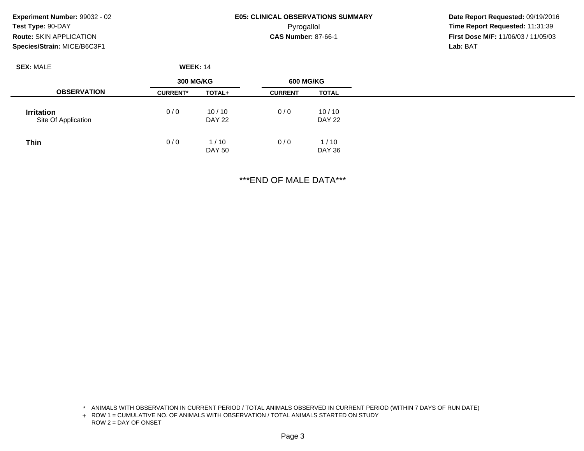#### **E05: CLINICAL OBSERVATIONS SUMMARY**Pyrogallol **Time Report Requested:** 11:31:39

 **Date Report Requested:** 09/19/2016 **First Dose M/F:** 11/06/03 / 11/05/03<br>Lab: BAT **Lab:** BAT

| <b>SEX: MALE</b>                         | <b>WEEK: 14</b>  |                        |                  |                        |
|------------------------------------------|------------------|------------------------|------------------|------------------------|
|                                          | <b>300 MG/KG</b> |                        | <b>600 MG/KG</b> |                        |
| <b>OBSERVATION</b>                       | <b>CURRENT*</b>  | TOTAL+                 | <b>CURRENT</b>   | <b>TOTAL</b>           |
| <b>Irritation</b><br>Site Of Application | 0/0              | 10/10<br><b>DAY 22</b> | 0/0              | 10/10<br><b>DAY 22</b> |
| <b>Thin</b>                              | 0/0              | 1/10<br><b>DAY 50</b>  | 0/0              | 1/10<br>DAY 36         |

\*\*\*END OF MALE DATA\*\*\*

<sup>\*</sup> ANIMALS WITH OBSERVATION IN CURRENT PERIOD / TOTAL ANIMALS OBSERVED IN CURRENT PERIOD (WITHIN 7 DAYS OF RUN DATE)

<sup>+</sup> ROW 1 = CUMULATIVE NO. OF ANIMALS WITH OBSERVATION / TOTAL ANIMALS STARTED ON STUDY ROW 2 = DAY OF ONSET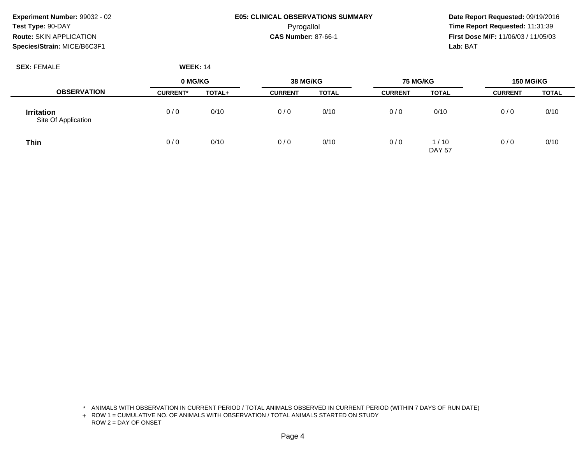## **E05: CLINICAL OBSERVATIONS SUMMARY**Pyrogallol **Time Report Requested:** 11:31:39

 **Date Report Requested:** 09/19/2016 **First Dose M/F:** 11/06/03 / 11/05/03<br>Lab: BAT **Lab:** BAT

| <b>SEX: FEMALE</b>                       | <b>WEEK: 14</b> |        |                             |              |                |                       |                |              |
|------------------------------------------|-----------------|--------|-----------------------------|--------------|----------------|-----------------------|----------------|--------------|
|                                          | 0 MG/KG         |        | 38 MG/KG<br><b>75 MG/KG</b> |              |                | <b>150 MG/KG</b>      |                |              |
| <b>OBSERVATION</b>                       | <b>CURRENT*</b> | TOTAL+ | <b>CURRENT</b>              | <b>TOTAL</b> | <b>CURRENT</b> | <b>TOTAL</b>          | <b>CURRENT</b> | <b>TOTAL</b> |
| <b>Irritation</b><br>Site Of Application | 0/0             | 0/10   | 0/0                         | 0/10         | 0/0            | 0/10                  | 0/0            | 0/10         |
| <b>Thin</b>                              | 0/0             | 0/10   | 0/0                         | 0/10         | 0/0            | 1/10<br><b>DAY 57</b> | 0/0            | 0/10         |

\* ANIMALS WITH OBSERVATION IN CURRENT PERIOD / TOTAL ANIMALS OBSERVED IN CURRENT PERIOD (WITHIN 7 DAYS OF RUN DATE)

+ ROW 1 = CUMULATIVE NO. OF ANIMALS WITH OBSERVATION / TOTAL ANIMALS STARTED ON STUDY ROW 2 = DAY OF ONSET